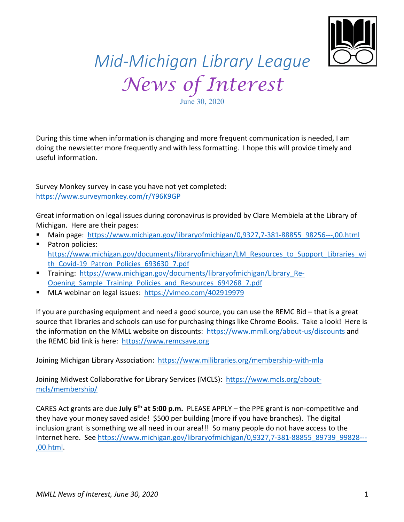

## *Mid-Michigan Library League News of Interest*

June 30, 2020

During this time when information is changing and more frequent communication is needed, I am doing the newsletter more frequently and with less formatting. I hope this will provide timely and useful information.

Survey Monkey survey in case you have not yet completed: https://www.surveymonkey.com/r/Y96K9GP

Great information on legal issues during coronavirus is provided by Clare Membiela at the Library of Michigan. Here are their pages:

- Main page: https://www.michigan.gov/libraryofmichigan/0,9327,7-381-88855\_98256---,00.html
- Patron policies: https://www.michigan.gov/documents/libraryofmichigan/LM\_Resources\_to\_Support\_Libraries\_wi th\_Covid-19\_Patron\_Policies\_693630\_7.pdf
- § Training: https://www.michigan.gov/documents/libraryofmichigan/Library\_Re-Opening\_Sample\_Training\_Policies\_and\_Resources\_694268\_7.pdf
- § MLA webinar on legal issues: https://vimeo.com/402919979

If you are purchasing equipment and need a good source, you can use the REMC Bid – that is a great source that libraries and schools can use for purchasing things like Chrome Books. Take a look! Here is the information on the MMLL website on discounts: https://www.mmll.org/about-us/discounts and the REMC bid link is here: https://www.remcsave.org

Joining Michigan Library Association: https://www.milibraries.org/membership-with-mla

Joining Midwest Collaborative for Library Services (MCLS): https://www.mcls.org/aboutmcls/membership/

CARES Act grants are due **July 6th at 5:00 p.m.** PLEASE APPLY – the PPE grant is non-competitive and they have your money saved aside! \$500 per building (more if you have branches). The digital inclusion grant is something we all need in our area!!! So many people do not have access to the Internet here. See https://www.michigan.gov/libraryofmichigan/0,9327,7-381-88855\_89739\_99828---,00.html.